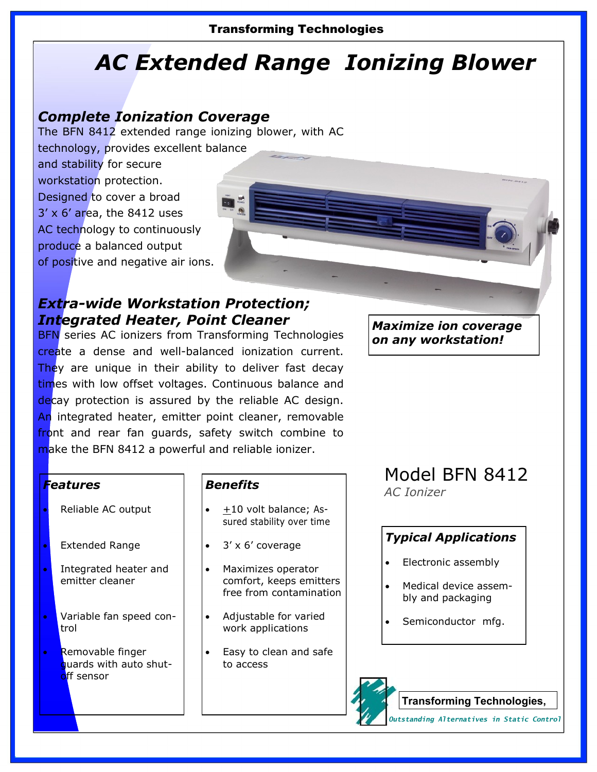### Transforming Technologies

# *AC Extended Range Ionizing Blower*

# *Complete Ionization Coverage*

The BFN 8412 extended range ionizing blower, with AC

technology, provides excellent balance

and stability for secure workstation protection. Designed to cover a broad 3' x 6' area, the 8412 uses AC technology to continuously produce a balanced output of positive and negative air ions.

# *Extra-wide Workstation Protection; Integrated Heater, Point Cleaner*

**BFN** series AC ionizers from Transforming Technologies create a dense and well-balanced ionization current. They are unique in their ability to deliver fast decay times with low offset voltages. Continuous balance and decay protection is assured by the reliable AC design. An integrated heater, emitter point cleaner, removable front and rear fan guards, safety switch combine to make the BFN 8412 a powerful and reliable ionizer.

*Maximize ion coverage on any workstation!*

### *Features*

- Reliable AC output
- Extended Range
- Integrated heater and emitter cleaner
- Variable fan speed control
- Removable finger quards with auto shutoff sensor

### *Benefits*

- $\pm$ 10 volt balance; Assured stability over time
- 3' x 6' coverage
- Maximizes operator comfort, keeps emitters free from contamination
- Adjustable for varied work applications
- Easy to clean and safe to access

## Model BFN 8412 *AC Ionizer*

## *Typical Applications*

- Electronic assembly
- Medical device assembly and packaging
- Semiconductor mfg.



**Transforming Technologies,** 

*Outstanding Alternatives in Static Control*